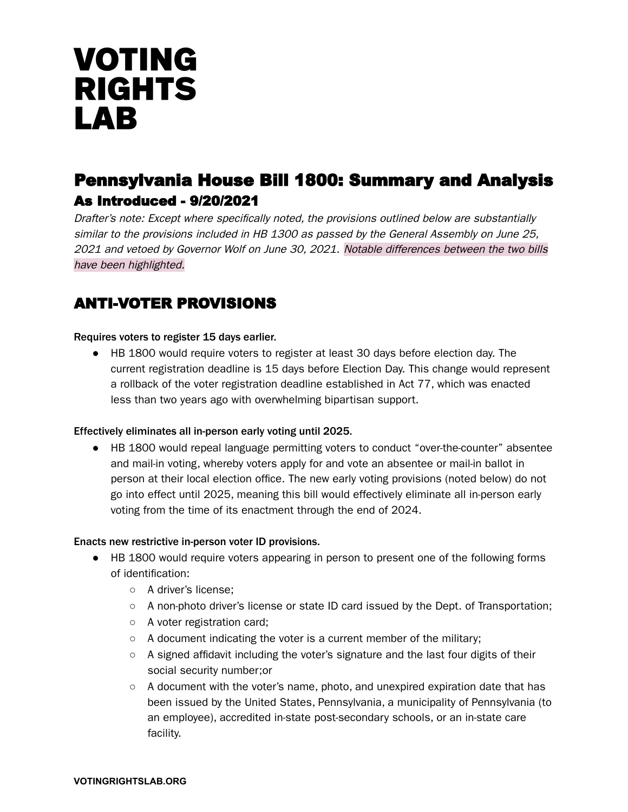# **VOTING RIGHTS LAB**

# Pennsylvania House Bill 1800: Summary and Analysis As Introduced - 9/20/2021

Drafter's note: Except where specifically noted, the provisions outlined below are substantially similar to the provisions included in HB 1300 as passed by the General Assembly on June 25, 2021 and vetoed by Governor Wolf on June 30, 2021. Notable differences between the two bills have been highlighted.

# ANTI-VOTER PROVISIONS

#### Requires voters to register 15 days earlier.

● HB 1800 would require voters to register at least 30 days before election day. The current registration deadline is 15 days before Election Day. This change would represent a rollback of the voter registration deadline established in Act 77, which was enacted less than two years ago with overwhelming bipartisan support.

#### Effectively eliminates all in-person early voting until 2025.

● HB 1800 would repeal language permitting voters to conduct "over-the-counter" absentee and mail-in voting, whereby voters apply for and vote an absentee or mail-in ballot in person at their local election office. The new early voting provisions (noted below) do not go into effect until 2025, meaning this bill would effectively eliminate all in-person early voting from the time of its enactment through the end of 2024.

#### Enacts new restrictive in-person voter ID provisions.

- HB 1800 would require voters appearing in person to present one of the following forms of identification:
	- A driver's license;
	- $\circ$  A non-photo driver's license or state ID card issued by the Dept. of Transportation;
	- A voter registration card;
	- A document indicating the voter is a current member of the military;
	- A signed affidavit including the voter's signature and the last four digits of their social security number;or
	- $\circ$  A document with the voter's name, photo, and unexpired expiration date that has been issued by the United States, Pennsylvania, a municipality of Pennsylvania (to an employee), accredited in-state post-secondary schools, or an in-state care facility.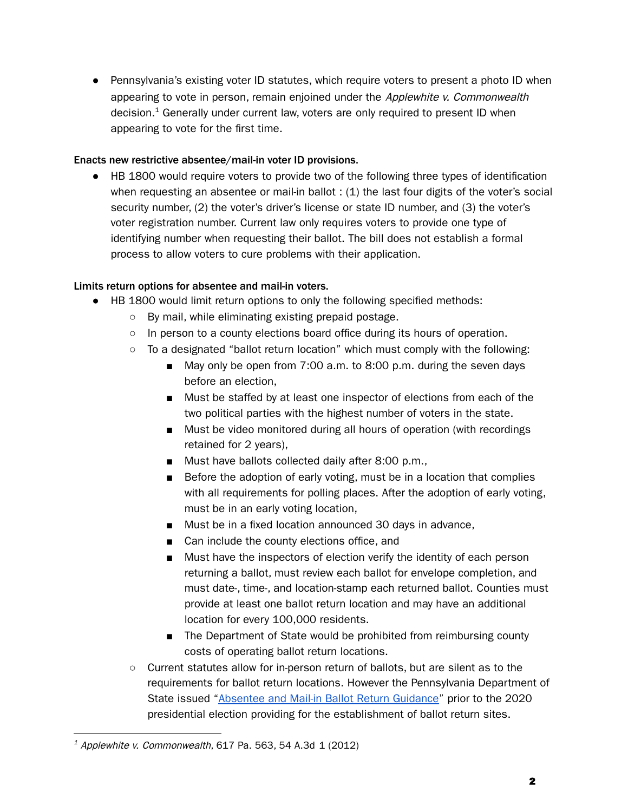● Pennsylvania's existing voter ID statutes, which require voters to present a photo ID when appearing to vote in person, remain enjoined under the Applewhite v. Commonwealth decision. <sup>1</sup> Generally under current law, voters are only required to present ID when appearing to vote for the first time.

#### Enacts new restrictive absentee/mail-in voter ID provisions.

● HB 1800 would require voters to provide two of the following three types of identification when requesting an absentee or mail-in ballot : (1) the last four digits of the voter's social security number, (2) the voter's driver's license or state ID number, and (3) the voter's voter registration number. Current law only requires voters to provide one type of identifying number when requesting their ballot. The bill does not establish a formal process to allow voters to cure problems with their application.

# Limits return options for absentee and mail-in voters.

- HB 1800 would limit return options to only the following specified methods:
	- By mail, while eliminating existing prepaid postage.
	- In person to a county elections board office during its hours of operation.
	- $\circ$  To a designated "ballot return location" which must comply with the following:
		- May only be open from 7:00 a.m. to 8:00 p.m. during the seven days before an election,
		- Must be staffed by at least one inspector of elections from each of the two political parties with the highest number of voters in the state.
		- Must be video monitored during all hours of operation (with recordings retained for 2 years),
		- Must have ballots collected daily after 8:00 p.m.,
		- Before the adoption of early voting, must be in a location that complies with all requirements for polling places. After the adoption of early voting, must be in an early voting location,
		- Must be in a fixed location announced 30 days in advance,
		- Can include the county elections office, and
		- Must have the inspectors of election verify the identity of each person returning a ballot, must review each ballot for envelope completion, and must date-, time-, and location-stamp each returned ballot. Counties must provide at least one ballot return location and may have an additional location for every 100,000 residents.
		- The Department of State would be prohibited from reimbursing county costs of operating ballot return locations.
	- Current statutes allow for in-person return of ballots, but are silent as to the requirements for ballot return locations. However the Pennsylvania Department of State issued ["Absentee](https://www.dos.pa.gov/VotingElections/OtherServicesEvents/Documents/PADOS_BallotReturn_Guidance_1.0.pdf) and Mail-in Ballot Return Guidance" prior to the 2020 presidential election providing for the establishment of ballot return sites.

 $14$  Applewhite v. Commonwealth, 617 Pa. 563, 54 A.3d 1 (2012)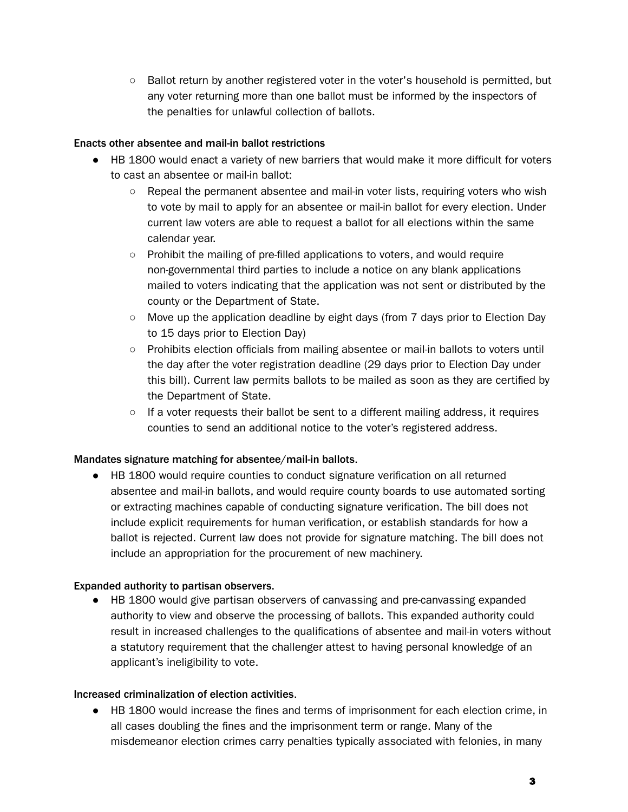○ Ballot return by another registered voter in the voter's household is permitted, but any voter returning more than one ballot must be informed by the inspectors of the penalties for unlawful collection of ballots.

### Enacts other absentee and mail-in ballot restrictions

- HB 1800 would enact a variety of new barriers that would make it more difficult for voters to cast an absentee or mail-in ballot:
	- $\circ$  Repeal the permanent absentee and mail-in voter lists, requiring voters who wish to vote by mail to apply for an absentee or mail-in ballot for every election. Under current law voters are able to request a ballot for all elections within the same calendar year.
	- Prohibit the mailing of pre-filled applications to voters, and would require non-governmental third parties to include a notice on any blank applications mailed to voters indicating that the application was not sent or distributed by the county or the Department of State.
	- Move up the application deadline by eight days (from 7 days prior to Election Day to 15 days prior to Election Day)
	- Prohibits election officials from mailing absentee or mail-in ballots to voters until the day after the voter registration deadline (29 days prior to Election Day under this bill). Current law permits ballots to be mailed as soon as they are certified by the Department of State.
	- $\circ$  If a voter requests their ballot be sent to a different mailing address, it requires counties to send an additional notice to the voter's registered address.

# Mandates signature matching for absentee/mail-in ballots.

● HB 1800 would require counties to conduct signature verification on all returned absentee and mail-in ballots, and would require county boards to use automated sorting or extracting machines capable of conducting signature verification. The bill does not include explicit requirements for human verification, or establish standards for how a ballot is rejected. Current law does not provide for signature matching. The bill does not include an appropriation for the procurement of new machinery.

# Expanded authority to partisan observers.

● HB 1800 would give partisan observers of canvassing and pre-canvassing expanded authority to view and observe the processing of ballots. This expanded authority could result in increased challenges to the qualifications of absentee and mail-in voters without a statutory requirement that the challenger attest to having personal knowledge of an applicant's ineligibility to vote.

#### Increased criminalization of election activities.

● HB 1800 would increase the fines and terms of imprisonment for each election crime, in all cases doubling the fines and the imprisonment term or range. Many of the misdemeanor election crimes carry penalties typically associated with felonies, in many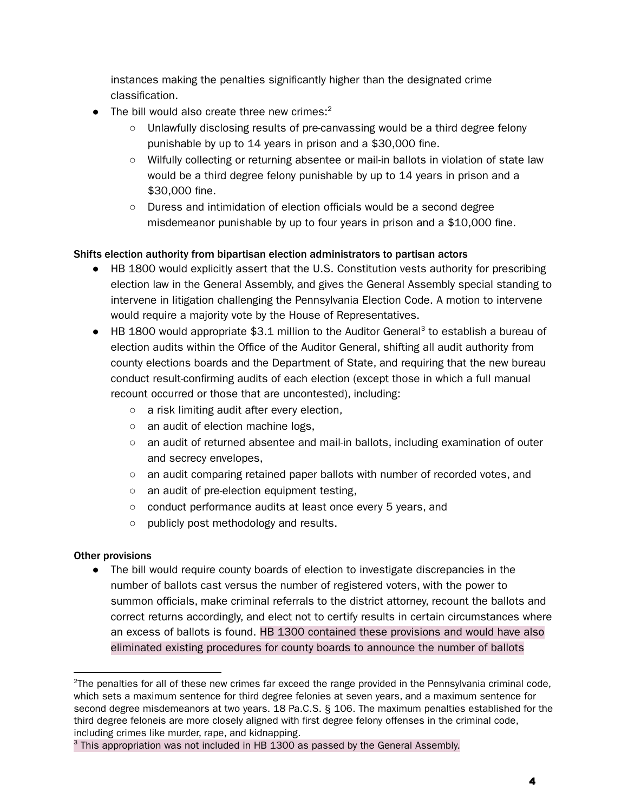instances making the penalties significantly higher than the designated crime classification.

- $\bullet$  The bill would also create three new crimes:<sup>2</sup>
	- Unlawfully disclosing results of pre-canvassing would be a third degree felony punishable by up to 14 years in prison and a \$30,000 fine.
	- Wilfully collecting or returning absentee or mail-in ballots in violation of state law would be a third degree felony punishable by up to 14 years in prison and a \$30,000 fine.
	- Duress and intimidation of election officials would be a second degree misdemeanor punishable by up to four years in prison and a \$10,000 fine.

# Shifts election authority from bipartisan election administrators to partisan actors

- HB 1800 would explicitly assert that the U.S. Constitution vests authority for prescribing election law in the General Assembly, and gives the General Assembly special standing to intervene in litigation challenging the Pennsylvania Election Code. A motion to intervene would require a majority vote by the House of Representatives.
- HB 1800 would appropriate \$3.1 million to the Auditor General<sup>3</sup> to establish a bureau of election audits within the Office of the Auditor General, shifting all audit authority from county elections boards and the Department of State, and requiring that the new bureau conduct result-confirming audits of each election (except those in which a full manual recount occurred or those that are uncontested), including:
	- a risk limiting audit after every election,
	- an audit of election machine logs,
	- an audit of returned absentee and mail-in ballots, including examination of outer and secrecy envelopes,
	- an audit comparing retained paper ballots with number of recorded votes, and
	- an audit of pre-election equipment testing,
	- conduct performance audits at least once every 5 years, and
	- publicly post methodology and results.

#### Other provisions

● The bill would require county boards of election to investigate discrepancies in the number of ballots cast versus the number of registered voters, with the power to summon officials, make criminal referrals to the district attorney, recount the ballots and correct returns accordingly, and elect not to certify results in certain circumstances where an excess of ballots is found. HB 1300 contained these provisions and would have also eliminated existing procedures for county boards to announce the number of ballots

<sup>&</sup>lt;sup>2</sup>The penalties for all of these new crimes far exceed the range provided in the Pennsylvania criminal code, which sets a maximum sentence for third degree felonies at seven years, and a maximum sentence for second degree misdemeanors at two years. 18 Pa.C.S. § 106. The maximum penalties established for the third degree feloneis are more closely aligned with first degree felony offenses in the criminal code, including crimes like murder, rape, and kidnapping.

<sup>&</sup>lt;sup>3</sup> This appropriation was not included in HB 1300 as passed by the General Assembly.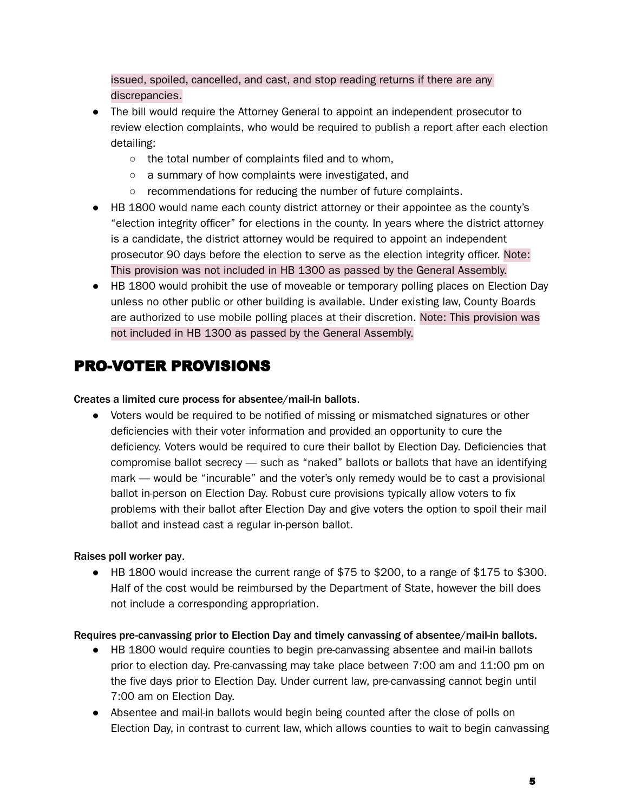issued, spoiled, cancelled, and cast, and stop reading returns if there are any discrepancies.

- The bill would require the Attorney General to appoint an independent prosecutor to review election complaints, who would be required to publish a report after each election detailing:
	- the total number of complaints filed and to whom,
	- a summary of how complaints were investigated, and
	- recommendations for reducing the number of future complaints.
- HB 1800 would name each county district attorney or their appointee as the county's "election integrity officer" for elections in the county. In years where the district attorney is a candidate, the district attorney would be required to appoint an independent prosecutor 90 days before the election to serve as the election integrity officer. Note: This provision was not included in HB 1300 as passed by the General Assembly.
- HB 1800 would prohibit the use of moveable or temporary polling places on Election Day unless no other public or other building is available. Under existing law, County Boards are authorized to use mobile polling places at their discretion. Note: This provision was not included in HB 1300 as passed by the General Assembly.

# PRO-VOTER PROVISIONS

### Creates a limited cure process for absentee/mail-in ballots.

● Voters would be required to be notified of missing or mismatched signatures or other deficiencies with their voter information and provided an opportunity to cure the deficiency. Voters would be required to cure their ballot by Election Day. Deficiencies that compromise ballot secrecy — such as "naked" ballots or ballots that have an identifying mark — would be "incurable" and the voter's only remedy would be to cast a provisional ballot in-person on Election Day. Robust cure provisions typically allow voters to fix problems with their ballot after Election Day and give voters the option to spoil their mail ballot and instead cast a regular in-person ballot.

# Raises poll worker pay.

 $\bullet$  HB 1800 would increase the current range of \$75 to \$200, to a range of \$175 to \$300. Half of the cost would be reimbursed by the Department of State, however the bill does not include a corresponding appropriation.

#### Requires pre-canvassing prior to Election Day and timely canvassing of absentee/mail-in ballots.

- HB 1800 would require counties to begin pre-canvassing absentee and mail-in ballots prior to election day. Pre-canvassing may take place between 7:00 am and 11:00 pm on the five days prior to Election Day. Under current law, pre-canvassing cannot begin until 7:00 am on Election Day.
- Absentee and mail-in ballots would begin being counted after the close of polls on Election Day, in contrast to current law, which allows counties to wait to begin canvassing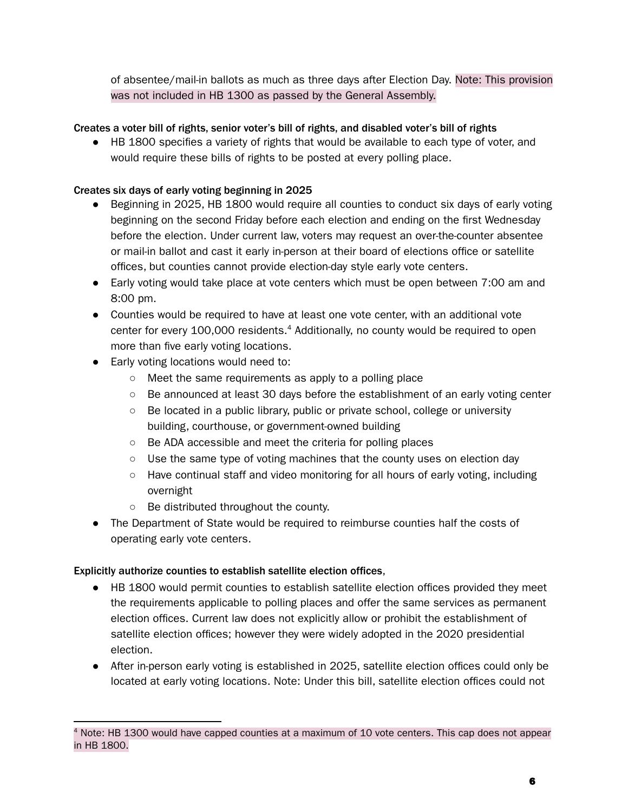of absentee/mail-in ballots as much as three days after Election Day. Note: This provision was not included in HB 1300 as passed by the General Assembly.

# Creates a voter bill of rights, senior voter's bill of rights, and disabled voter's bill of rights

● HB 1800 specifies a variety of rights that would be available to each type of voter, and would require these bills of rights to be posted at every polling place.

#### Creates six days of early voting beginning in 2025

- Beginning in 2025, HB 1800 would require all counties to conduct six days of early voting beginning on the second Friday before each election and ending on the first Wednesday before the election. Under current law, voters may request an over-the-counter absentee or mail-in ballot and cast it early in-person at their board of elections office or satellite offices, but counties cannot provide election-day style early vote centers.
- Early voting would take place at vote centers which must be open between 7:00 am and 8:00 pm.
- Counties would be required to have at least one vote center, with an additional vote center for every 100,000 residents. <sup>4</sup> Additionally, no county would be required to open more than five early voting locations.
- Early voting locations would need to:
	- Meet the same requirements as apply to a polling place
	- Be announced at least 30 days before the establishment of an early voting center
	- Be located in a public library, public or private school, college or university building, courthouse, or government-owned building
	- Be ADA accessible and meet the criteria for polling places
	- $\circ$  Use the same type of voting machines that the county uses on election day
	- Have continual staff and video monitoring for all hours of early voting, including overnight
	- Be distributed throughout the county.
- The Department of State would be required to reimburse counties half the costs of operating early vote centers.

# Explicitly authorize counties to establish satellite election offices,

- HB 1800 would permit counties to establish satellite election offices provided they meet the requirements applicable to polling places and offer the same services as permanent election offices. Current law does not explicitly allow or prohibit the establishment of satellite election offices; however they were widely adopted in the 2020 presidential election.
- After in-person early voting is established in 2025, satellite election offices could only be located at early voting locations. Note: Under this bill, satellite election offices could not

 $<sup>4</sup>$  Note: HB 1300 would have capped counties at a maximum of 10 vote centers. This cap does not appear</sup> in HB 1800.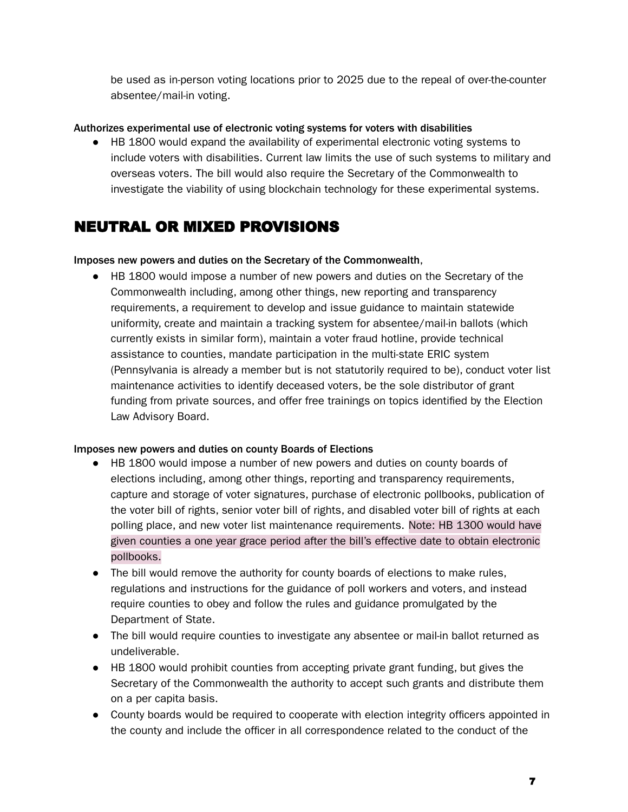be used as in-person voting locations prior to 2025 due to the repeal of over-the-counter absentee/mail-in voting.

### Authorizes experimental use of electronic voting systems for voters with disabilities

● HB 1800 would expand the availability of experimental electronic voting systems to include voters with disabilities. Current law limits the use of such systems to military and overseas voters. The bill would also require the Secretary of the Commonwealth to investigate the viability of using blockchain technology for these experimental systems.

# NEUTRAL OR MIXED PROVISIONS

#### Imposes new powers and duties on the Secretary of the Commonwealth,

● HB 1800 would impose a number of new powers and duties on the Secretary of the Commonwealth including, among other things, new reporting and transparency requirements, a requirement to develop and issue guidance to maintain statewide uniformity, create and maintain a tracking system for absentee/mail-in ballots (which currently exists in similar form), maintain a voter fraud hotline, provide technical assistance to counties, mandate participation in the multi-state ERIC system (Pennsylvania is already a member but is not statutorily required to be), conduct voter list maintenance activities to identify deceased voters, be the sole distributor of grant funding from private sources, and offer free trainings on topics identified by the Election Law Advisory Board.

#### Imposes new powers and duties on county Boards of Elections

- HB 1800 would impose a number of new powers and duties on county boards of elections including, among other things, reporting and transparency requirements, capture and storage of voter signatures, purchase of electronic pollbooks, publication of the voter bill of rights, senior voter bill of rights, and disabled voter bill of rights at each polling place, and new voter list maintenance requirements. Note: HB 1300 would have given counties a one year grace period after the bill's effective date to obtain electronic pollbooks.
- The bill would remove the authority for county boards of elections to make rules, regulations and instructions for the guidance of poll workers and voters, and instead require counties to obey and follow the rules and guidance promulgated by the Department of State.
- The bill would require counties to investigate any absentee or mail-in ballot returned as undeliverable.
- HB 1800 would prohibit counties from accepting private grant funding, but gives the Secretary of the Commonwealth the authority to accept such grants and distribute them on a per capita basis.
- County boards would be required to cooperate with election integrity officers appointed in the county and include the officer in all correspondence related to the conduct of the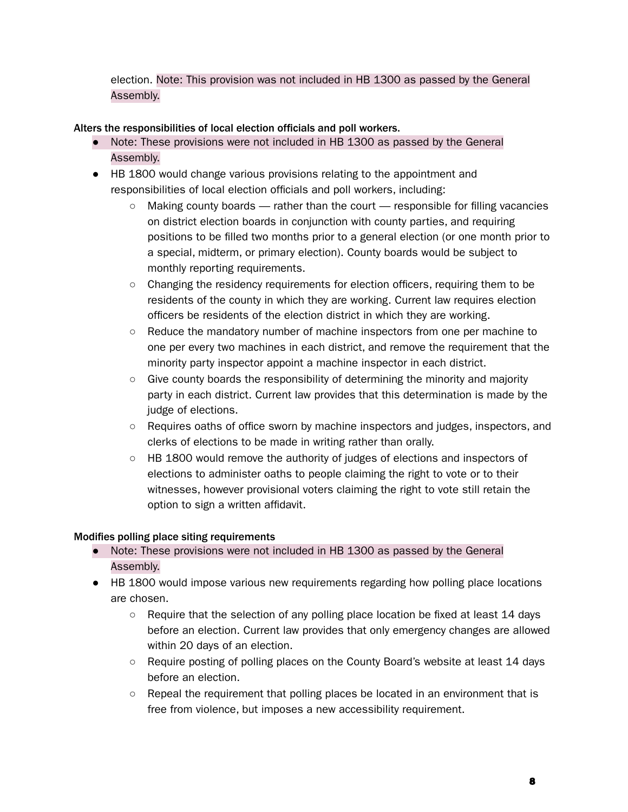election. Note: This provision was not included in HB 1300 as passed by the General Assembly.

Alters the responsibilities of local election officials and poll workers.

- Note: These provisions were not included in HB 1300 as passed by the General Assembly.
- HB 1800 would change various provisions relating to the appointment and responsibilities of local election officials and poll workers, including:
	- $\circ$  Making county boards rather than the court responsible for filling vacancies on district election boards in conjunction with county parties, and requiring positions to be filled two months prior to a general election (or one month prior to a special, midterm, or primary election). County boards would be subject to monthly reporting requirements.
	- Changing the residency requirements for election officers, requiring them to be residents of the county in which they are working. Current law requires election officers be residents of the election district in which they are working.
	- Reduce the mandatory number of machine inspectors from one per machine to one per every two machines in each district, and remove the requirement that the minority party inspector appoint a machine inspector in each district.
	- Give county boards the responsibility of determining the minority and majority party in each district. Current law provides that this determination is made by the judge of elections.
	- Requires oaths of office sworn by machine inspectors and judges, inspectors, and clerks of elections to be made in writing rather than orally.
	- HB 1800 would remove the authority of judges of elections and inspectors of elections to administer oaths to people claiming the right to vote or to their witnesses, however provisional voters claiming the right to vote still retain the option to sign a written affidavit.

# Modifies polling place siting requirements

- Note: These provisions were not included in HB 1300 as passed by the General Assembly.
- HB 1800 would impose various new requirements regarding how polling place locations are chosen.
	- Require that the selection of any polling place location be fixed at least 14 days before an election. Current law provides that only emergency changes are allowed within 20 days of an election.
	- Require posting of polling places on the County Board's website at least 14 days before an election.
	- Repeal the requirement that polling places be located in an environment that is free from violence, but imposes a new accessibility requirement.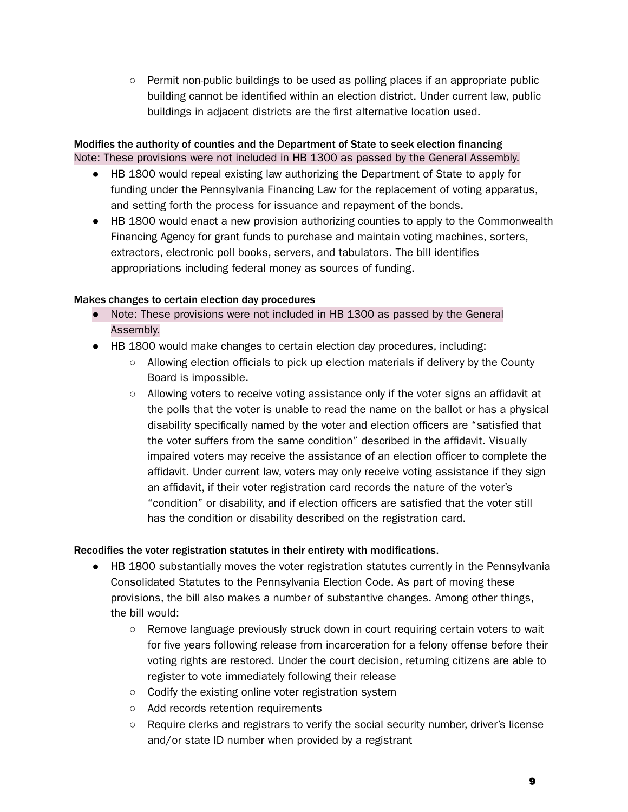$\circ$  Permit non-public buildings to be used as polling places if an appropriate public building cannot be identified within an election district. Under current law, public buildings in adjacent districts are the first alternative location used.

## Modifies the authority of counties and the Department of State to seek election financing Note: These provisions were not included in HB 1300 as passed by the General Assembly.

- HB 1800 would repeal existing law authorizing the Department of State to apply for funding under the Pennsylvania Financing Law for the replacement of voting apparatus, and setting forth the process for issuance and repayment of the bonds.
- HB 1800 would enact a new provision authorizing counties to apply to the Commonwealth Financing Agency for grant funds to purchase and maintain voting machines, sorters, extractors, electronic poll books, servers, and tabulators. The bill identifies appropriations including federal money as sources of funding.

### Makes changes to certain election day procedures

- Note: These provisions were not included in HB 1300 as passed by the General Assembly.
- HB 1800 would make changes to certain election day procedures, including:
	- $\circ$  Allowing election officials to pick up election materials if delivery by the County Board is impossible.
	- Allowing voters to receive voting assistance only if the voter signs an affidavit at the polls that the voter is unable to read the name on the ballot or has a physical disability specifically named by the voter and election officers are "satisfied that the voter suffers from the same condition" described in the affidavit. Visually impaired voters may receive the assistance of an election officer to complete the affidavit. Under current law, voters may only receive voting assistance if they sign an affidavit, if their voter registration card records the nature of the voter's "condition" or disability, and if election officers are satisfied that the voter still has the condition or disability described on the registration card.

# Recodifies the voter registration statutes in their entirety with modifications.

- HB 1800 substantially moves the voter registration statutes currently in the Pennsylvania Consolidated Statutes to the Pennsylvania Election Code. As part of moving these provisions, the bill also makes a number of substantive changes. Among other things, the bill would:
	- Remove language previously struck down in court requiring certain voters to wait for five years following release from incarceration for a felony offense before their voting rights are restored. Under the court decision, returning citizens are able to register to vote immediately following their release
	- Codify the existing online voter registration system
	- Add records retention requirements
	- Require clerks and registrars to verify the social security number, driver's license and/or state ID number when provided by a registrant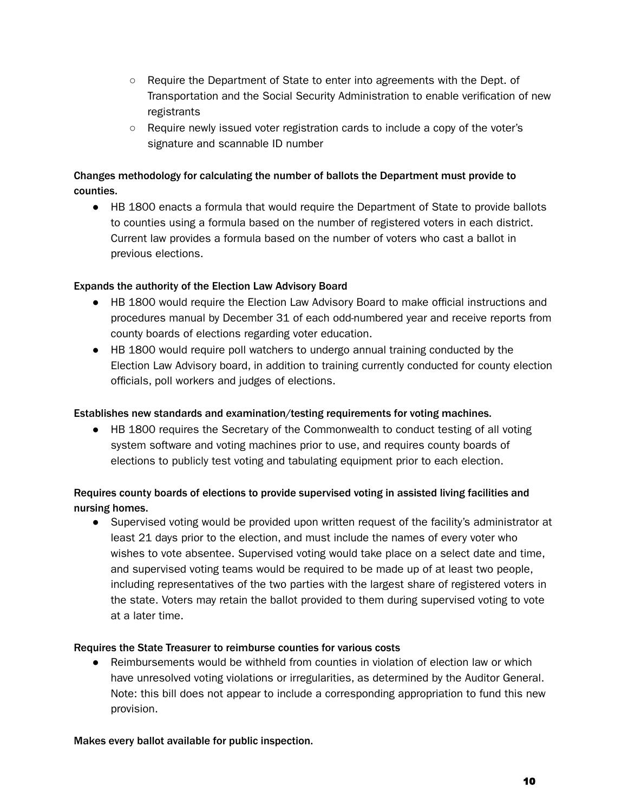- Require the Department of State to enter into agreements with the Dept. of Transportation and the Social Security Administration to enable verification of new registrants
- Require newly issued voter registration cards to include a copy of the voter's signature and scannable ID number

## Changes methodology for calculating the number of ballots the Department must provide to counties.

● HB 1800 enacts a formula that would require the Department of State to provide ballots to counties using a formula based on the number of registered voters in each district. Current law provides a formula based on the number of voters who cast a ballot in previous elections.

### Expands the authority of the Election Law Advisory Board

- HB 1800 would require the Election Law Advisory Board to make official instructions and procedures manual by December 31 of each odd-numbered year and receive reports from county boards of elections regarding voter education.
- HB 1800 would require poll watchers to undergo annual training conducted by the Election Law Advisory board, in addition to training currently conducted for county election officials, poll workers and judges of elections.

## Establishes new standards and examination/testing requirements for voting machines.

● HB 1800 requires the Secretary of the Commonwealth to conduct testing of all voting system software and voting machines prior to use, and requires county boards of elections to publicly test voting and tabulating equipment prior to each election.

# Requires county boards of elections to provide supervised voting in assisted living facilities and nursing homes.

● Supervised voting would be provided upon written request of the facility's administrator at least 21 days prior to the election, and must include the names of every voter who wishes to vote absentee. Supervised voting would take place on a select date and time, and supervised voting teams would be required to be made up of at least two people, including representatives of the two parties with the largest share of registered voters in the state. Voters may retain the ballot provided to them during supervised voting to vote at a later time.

#### Requires the State Treasurer to reimburse counties for various costs

• Reimbursements would be withheld from counties in violation of election law or which have unresolved voting violations or irregularities, as determined by the Auditor General. Note: this bill does not appear to include a corresponding appropriation to fund this new provision.

#### Makes every ballot available for public inspection.